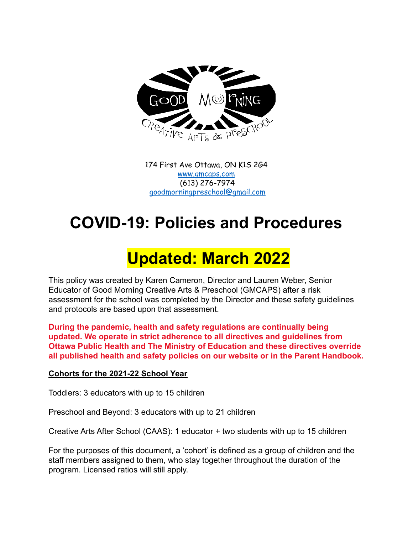

174 First Ave Ottawa, ON K1S 2G4 [www.gmcaps.com](http://www.gmcaps.com) (613) 276-7974 [goodmorningpreschool@gmail.com](mailto:goodmorningpreschool@gmail.com)

# **COVID-19: Policies and Procedures**

# **Updated: March 2022**

This policy was created by Karen Cameron, Director and Lauren Weber, Senior Educator of Good Morning Creative Arts & Preschool (GMCAPS) after a risk assessment for the school was completed by the Director and these safety guidelines and protocols are based upon that assessment.

**During the pandemic, health and safety regulations are continually being updated. We operate in strict adherence to all directives and guidelines from Ottawa Public Health and The Ministry of Education and these directives override all published health and safety policies on our website or in the Parent Handbook.**

#### **Cohorts for the 2021-22 School Year**

Toddlers: 3 educators with up to 15 children

Preschool and Beyond: 3 educators with up to 21 children

Creative Arts After School (CAAS): 1 educator + two students with up to 15 children

For the purposes of this document, a 'cohort' is defined as a group of children and the staff members assigned to them, who stay together throughout the duration of the program. Licensed ratios will still apply.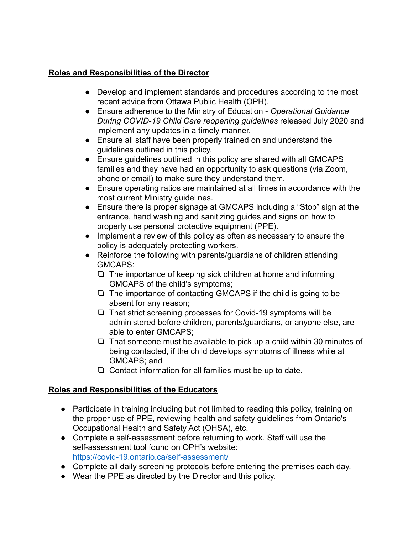## **Roles and Responsibilities of the Director**

- Develop and implement standards and procedures according to the most recent advice from Ottawa Public Health (OPH).
- Ensure adherence to the Ministry of Education *Operational Guidance During COVID-19 Child Care reopening guidelines* released July 2020 and implement any updates in a timely manner.
- Ensure all staff have been properly trained on and understand the guidelines outlined in this policy.
- Ensure guidelines outlined in this policy are shared with all GMCAPS families and they have had an opportunity to ask questions (via Zoom, phone or email) to make sure they understand them.
- Ensure operating ratios are maintained at all times in accordance with the most current Ministry guidelines.
- Ensure there is proper signage at GMCAPS including a "Stop" sign at the entrance, hand washing and sanitizing guides and signs on how to properly use personal protective equipment (PPE).
- Implement a review of this policy as often as necessary to ensure the policy is adequately protecting workers.
- Reinforce the following with parents/guardians of children attending GMCAPS:
	- ❏ The importance of keeping sick children at home and informing GMCAPS of the child's symptoms;
	- ❏ The importance of contacting GMCAPS if the child is going to be absent for any reason;
	- ❏ That strict screening processes for Covid-19 symptoms will be administered before children, parents/guardians, or anyone else, are able to enter GMCAPS;
	- ❏ That someone must be available to pick up a child within 30 minutes of being contacted, if the child develops symptoms of illness while at GMCAPS; and
	- ❏ Contact information for all families must be up to date.

# **Roles and Responsibilities of the Educators**

- Participate in training including but not limited to reading this policy, training on the proper use of PPE, reviewing health and safety guidelines from Ontario's Occupational Health and Safety Act (OHSA), etc.
- Complete a self-assessment before returning to work. Staff will use the self-assessment tool found on OPH's website: <https://covid-19.ontario.ca/self-assessment/>
- Complete all daily screening protocols before entering the premises each day.
- Wear the PPE as directed by the Director and this policy.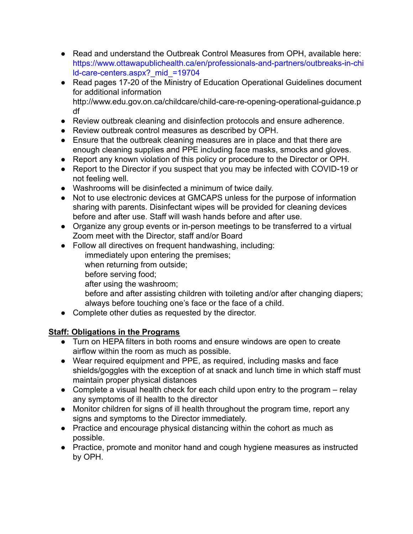- Read and understand the Outbreak Control Measures from OPH, available here: [https://www.ottawapublichealth.ca/en/professionals-and-partners/outbreaks-in-chi](https://www.ottawapublichealth.ca/en/professionals-and-partners/outbreaks-in-child-care-centers.aspx?_mid_=19704) [ld-care-centers.aspx?\\_mid\\_=19704](https://www.ottawapublichealth.ca/en/professionals-and-partners/outbreaks-in-child-care-centers.aspx?_mid_=19704)
- Read pages 17-20 of the Ministry of Education Operational Guidelines document for additional informatio[n](http://www.edu.gov.on.ca/childcare/child-care-re-opening-operational-guidance.pdf) [http://www.edu.gov.on.ca/childcare/child-care-re-opening-operational-guidance.p](http://www.edu.gov.on.ca/childcare/child-care-re-opening-operational-guidance.pdf) [df](http://www.edu.gov.on.ca/childcare/child-care-re-opening-operational-guidance.pdf)
- Review outbreak cleaning and disinfection protocols and ensure adherence.
- Review outbreak control measures as described by OPH.
- Ensure that the outbreak cleaning measures are in place and that there are enough cleaning supplies and PPE including face masks, smocks and gloves.
- Report any known violation of this policy or procedure to the Director or OPH.
- Report to the Director if you suspect that you may be infected with COVID-19 or not feeling well.
- Washrooms will be disinfected a minimum of twice daily.
- Not to use electronic devices at GMCAPS unless for the purpose of information sharing with parents. Disinfectant wipes will be provided for cleaning devices before and after use. Staff will wash hands before and after use.
- Organize any group events or in-person meetings to be transferred to a virtual Zoom meet with the Director, staff and/or Board
- Follow all directives on frequent handwashing, including:
	- immediately upon entering the premises;
	- when returning from outside;
	- before serving food;
	- after using the washroom;
	- before and after assisting children with toileting and/or after changing diapers; always before touching one's face or the face of a child.
- Complete other duties as requested by the director.

# **Staff: Obligations in the Programs**

- Turn on HEPA filters in both rooms and ensure windows are open to create airflow within the room as much as possible.
- Wear required equipment and PPE, as required, including masks and face shields/goggles with the exception of at snack and lunch time in which staff must maintain proper physical distances
- Complete a visual health check for each child upon entry to the program relay any symptoms of ill health to the director
- Monitor children for signs of ill health throughout the program time, report any signs and symptoms to the Director immediately.
- Practice and encourage physical distancing within the cohort as much as possible.
- Practice, promote and monitor hand and cough hygiene measures as instructed by OPH.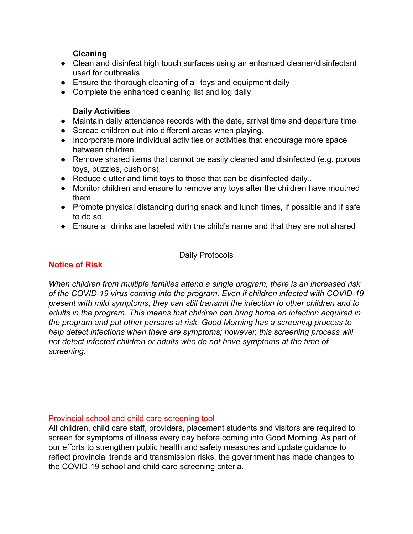### **Cleaning**

- Clean and disinfect high touch surfaces using an enhanced cleaner/disinfectant used for outbreaks.
- Ensure the thorough cleaning of all toys and equipment daily
- Complete the enhanced cleaning list and log daily

### **Daily Activities**

- Maintain daily attendance records with the date, arrival time and departure time
- Spread children out into different areas when playing.
- Incorporate more individual activities or activities that encourage more space between children.
- Remove shared items that cannot be easily cleaned and disinfected (e.g. porous toys, puzzles, cushions).
- Reduce clutter and limit toys to those that can be disinfected daily..
- Monitor children and ensure to remove any toys after the children have mouthed them.
- Promote physical distancing during snack and lunch times, if possible and if safe to do so.
- Ensure all drinks are labeled with the child's name and that they are not shared

#### Daily Protocols

## **Notice of Risk**

*When children from multiple families attend a single program, there is an increased risk of the COVID-19 virus coming into the program. Even if children infected with COVID-19 present with mild symptoms, they can still transmit the infection to other children and to adults in the program. This means that children can bring home an infection acquired in the program and put other persons at risk. Good Morning has a screening process to help detect infections when there are symptoms; however, this screening process will not detect infected children or adults who do not have symptoms at the time of screening.*

#### Provincial school and child care screening tool

All children, child care staff, providers, placement students and visitors are required to screen for symptoms of illness every day before coming into Good Morning. As part of our efforts to strengthen public health and safety measures and update guidance to reflect provincial trends and transmission risks, the government has made changes to the COVID-19 school and child care screening criteria.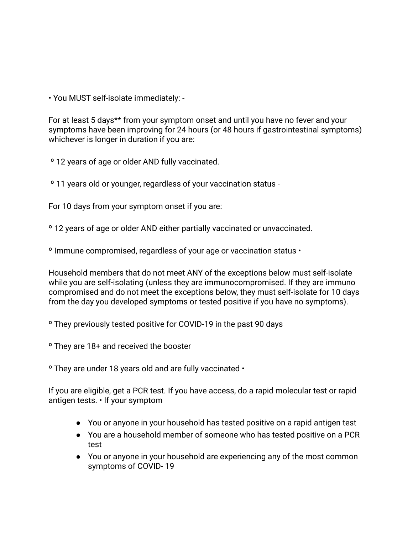• You MUST self-isolate immediately: -

For at least 5 days\*\* from your symptom onset and until you have no fever and your symptoms have been improving for 24 hours (or 48 hours if gastrointestinal symptoms) whichever is longer in duration if you are:

º 12 years of age or older AND fully vaccinated.

º 11 years old or younger, regardless of your vaccination status -

For 10 days from your symptom onset if you are:

º 12 years of age or older AND either partially vaccinated or unvaccinated.

º Immune compromised, regardless of your age or vaccination status •

Household members that do not meet ANY of the exceptions below must self-isolate while you are self-isolating (unless they are immunocompromised. If they are immuno compromised and do not meet the exceptions below, they must self-isolate for 10 days from the day you developed symptoms or tested positive if you have no symptoms).

º They previously tested positive for COVID-19 in the past 90 days

º They are 18+ and received the booster

º They are under 18 years old and are fully vaccinated •

If you are eligible, get a PCR test. If you have access, do a rapid molecular test or rapid antigen tests. • If your symptom

- You or anyone in your household has tested positive on a rapid antigen test
- You are a household member of someone who has tested positive on a PCR test
- You or anyone in your household are experiencing any of the most common symptoms of COVID- 19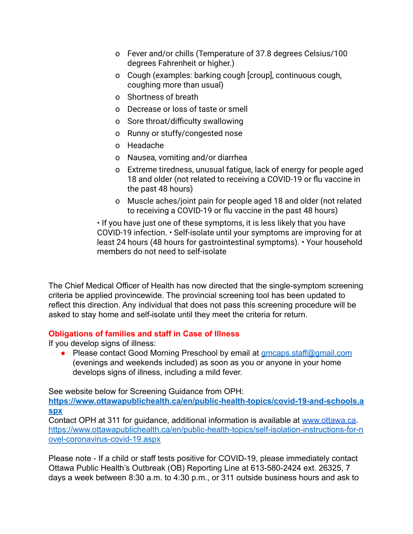- o Fever and/or chills (Temperature of 37.8 degrees Celsius/100 degrees Fahrenheit or higher.)
- o Cough (examples: barking cough [croup], continuous cough, coughing more than usual)
- o Shortness of breath
- o Decrease or loss of taste or smell
- o Sore throat/difficulty swallowing
- o Runny or stuffy/congested nose
- o Headache
- o Nausea, vomiting and/or diarrhea
- o Extreme tiredness, unusual fatigue, lack of energy for people aged 18 and older (not related to receiving a COVID-19 or flu vaccine in the past 48 hours)
- o Muscle aches/joint pain for people aged 18 and older (not related to receiving a COVID-19 or flu vaccine in the past 48 hours)

• If you have just one of these symptoms, it is less likely that you have COVID-19 infection. • Self-isolate until your symptoms are improving for at least 24 hours (48 hours for gastrointestinal symptoms). • Your household members do not need to self-isolate

The Chief Medical Officer of Health has now directed that the single-symptom screening criteria be applied provincewide. The provincial screening tool has been updated to reflect this direction. Any individual that does not pass this screening procedure will be asked to stay home and self-isolate until they meet the criteria for return.

#### **Obligations of families and staff in Case of Illness**

If you develop signs of illness:

**●** Please contact Good Morning Preschool by email at [gmcaps.staff@gmail.com](mailto:gmcaps.staff@gmail.com) (evenings and weekends included) as soon as you or anyone in your home develops signs of illness, including a mild fever.

See website below for Screening Guidance from OPH:

**[https://www.ottawapublichealth.ca/en/public-health-topics/covid-19-and-schools.a](https://www.ottawapublichealth.ca/en/public-health-topics/covid-19-and-schools.aspx) [spx](https://www.ottawapublichealth.ca/en/public-health-topics/covid-19-and-schools.aspx)**

Contact OPH at 311 for guidance, additional information is available at [www.ottawa.ca](http://www.ottawa.ca). [https://www.ottawapublichealth.ca/en/public-health-topics/self-isolation-instructions-for-n](https://www.ottawapublichealth.ca/en/public-health-topics/self-isolation-instructions-for-novel-coronavirus-covid-19.aspx) [ovel-coronavirus-covid-19.aspx](https://www.ottawapublichealth.ca/en/public-health-topics/self-isolation-instructions-for-novel-coronavirus-covid-19.aspx)

Please note - If a child or staff tests positive for COVID-19, please immediately contact Ottawa Public Health's Outbreak (OB) Reporting Line at 613-580-2424 ext. 26325, 7 days a week between 8:30 a.m. to 4:30 p.m., or 311 outside business hours and ask to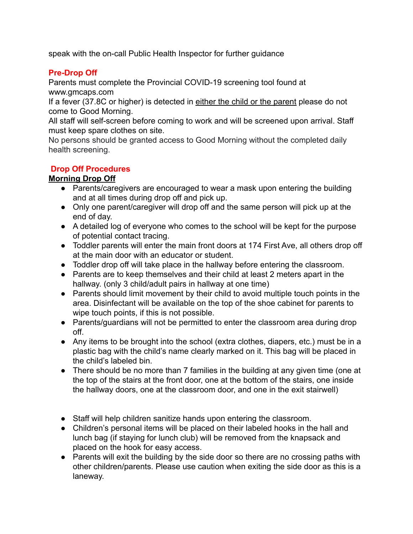speak with the on-call Public Health Inspector for further guidance

## **Pre-Drop Off**

Parents must complete the Provincial COVID-19 screening tool found at www.gmcaps.com

If a fever (37.8C or higher) is detected in either the child or the parent please do not come to Good Morning.

All staff will self-screen before coming to work and will be screened upon arrival. Staff must keep spare clothes on site.

No persons should be granted access to Good Morning without the completed daily health screening.

## **Drop Off Procedures**

# **Morning Drop Off**

- Parents/caregivers are encouraged to wear a mask upon entering the building and at all times during drop off and pick up.
- Only one parent/caregiver will drop off and the same person will pick up at the end of day.
- A detailed log of everyone who comes to the school will be kept for the purpose of potential contact tracing.
- Toddler parents will enter the main front doors at 174 First Ave, all others drop off at the main door with an educator or student.
- Toddler drop off will take place in the hallway before entering the classroom.
- Parents are to keep themselves and their child at least 2 meters apart in the hallway. (only 3 child/adult pairs in hallway at one time)
- Parents should limit movement by their child to avoid multiple touch points in the area. Disinfectant will be available on the top of the shoe cabinet for parents to wipe touch points, if this is not possible.
- Parents/guardians will not be permitted to enter the classroom area during drop off.
- Any items to be brought into the school (extra clothes, diapers, etc.) must be in a plastic bag with the child's name clearly marked on it. This bag will be placed in the child's labeled bin.
- There should be no more than 7 families in the building at any given time (one at the top of the stairs at the front door, one at the bottom of the stairs, one inside the hallway doors, one at the classroom door, and one in the exit stairwell)
- Staff will help children sanitize hands upon entering the classroom.
- Children's personal items will be placed on their labeled hooks in the hall and lunch bag (if staying for lunch club) will be removed from the knapsack and placed on the hook for easy access.
- Parents will exit the building by the side door so there are no crossing paths with other children/parents. Please use caution when exiting the side door as this is a laneway.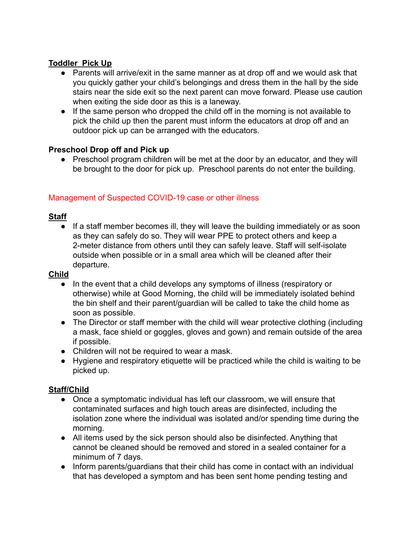## **Toddler Pick Up**

- Parents will arrive/exit in the same manner as at drop off and we would ask that you quickly gather your child's belongings and dress them in the hall by the side stairs near the side exit so the next parent can move forward. Please use caution when exiting the side door as this is a laneway.
- If the same person who dropped the child off in the morning is not available to pick the child up then the parent must inform the educators at drop off and an outdoor pick up can be arranged with the educators.

## **Preschool Drop off and Pick up**

• Preschool program children will be met at the door by an educator, and they will be brought to the door for pick up. Preschool parents do not enter the building.

# Management of Suspected COVID-19 case or other illness

## **Staff**

● If a staff member becomes ill, they will leave the building immediately or as soon as they can safely do so. They will wear PPE to protect others and keep a 2-meter distance from others until they can safely leave. Staff will self-isolate outside when possible or in a small area which will be cleaned after their departure.

#### **Child**

- In the event that a child develops any symptoms of illness (respiratory or otherwise) while at Good Morning, the child will be immediately isolated behind the bin shelf and their parent/guardian will be called to take the child home as soon as possible.
- The Director or staff member with the child will wear protective clothing (including a mask, face shield or goggles, gloves and gown) and remain outside of the area if possible.
- Children will not be required to wear a mask.
- Hygiene and respiratory etiquette will be practiced while the child is waiting to be picked up.

#### **Staff/Child**

- Once a symptomatic individual has left our classroom, we will ensure that contaminated surfaces and high touch areas are disinfected, including the isolation zone where the individual was isolated and/or spending time during the morning.
- All items used by the sick person should also be disinfected. Anything that cannot be cleaned should be removed and stored in a sealed container for a minimum of 7 days.
- Inform parents/guardians that their child has come in contact with an individual that has developed a symptom and has been sent home pending testing and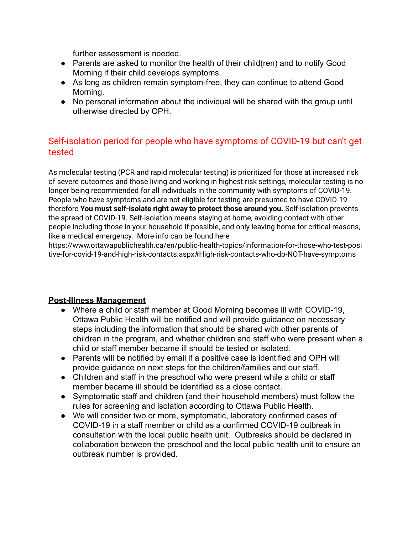further assessment is needed.

- Parents are asked to monitor the health of their child(ren) and to notify Good Morning if their child develops symptoms.
- As long as children remain symptom-free, they can continue to attend Good Morning.
- No personal information about the individual will be shared with the group until otherwise directed by OPH.

# Self-isolation period for people who have symptoms of COVID-19 but can't get tested

As molecular testing (PCR and rapid molecular testing) is prioritized for those at increased risk of severe outcomes and those living and working in highest risk settings, molecular testing is no longer being recommended for all individuals in the community with symptoms of COVID-19. People who have symptoms and are not eligible for testing are presumed to have COVID-19 therefore **You must self-isolate right away to protect those around you.** Self-isolation prevents the spread of COVID-19. Self-isolation means staying at home, avoiding contact with other people including those in your household if possible, and only leaving home for critical reasons, like a medical emergency. More info can be found here

https://www.ottawapublichealth.ca/en/public-health-topics/information-for-those-who-test-posi tive-for-covid-19-and-high-risk-contacts.aspx#High-risk-contacts-who-do-NOT-have-symptoms

#### **Post-Illness Management**

- Where a child or staff member at Good Morning becomes ill with COVID-19, Ottawa Public Health will be notified and will provide guidance on necessary steps including the information that should be shared with other parents of children in the program, and whether children and staff who were present when a child or staff member became ill should be tested or isolated.
- Parents will be notified by email if a positive case is identified and OPH will provide guidance on next steps for the children/families and our staff.
- Children and staff in the preschool who were present while a child or staff member became ill should be identified as a close contact.
- Symptomatic staff and children (and their household members) must follow the rules for screening and isolation according to Ottawa Public Health.
- We will consider two or more, symptomatic, laboratory confirmed cases of COVID-19 in a staff member or child as a confirmed COVID-19 outbreak in consultation with the local public health unit. Outbreaks should be declared in collaboration between the preschool and the local public health unit to ensure an outbreak number is provided.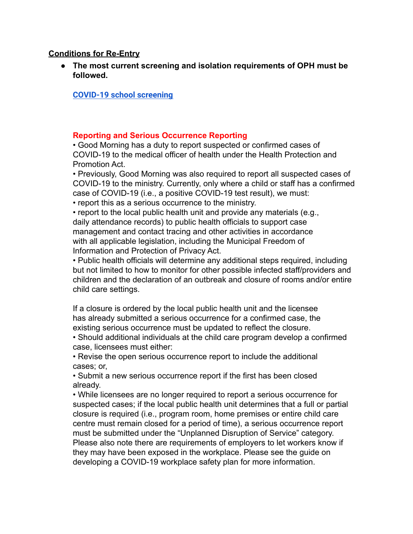#### **Conditions for Re-Entry**

● **The most current screening and isolation requirements of OPH must be followed.**

**[COVID-19 school screening](https://covid-19.ontario.ca/school-screening/)**

#### **Reporting and Serious Occurrence Reporting**

• Good Morning has a duty to report suspected or confirmed cases of COVID-19 to the medical officer of health under the Health Protection and Promotion Act.

• Previously, Good Morning was also required to report all suspected cases of COVID-19 to the ministry. Currently, only where a child or staff has a confirmed case of COVID-19 (i.e., a positive COVID-19 test result), we must:

• report this as a serious occurrence to the ministry.

• report to the local public health unit and provide any materials (e.g., daily attendance records) to public health officials to support case management and contact tracing and other activities in accordance with all applicable legislation, including the Municipal Freedom of Information and Protection of Privacy Act.

• Public health officials will determine any additional steps required, including but not limited to how to monitor for other possible infected staff/providers and children and the declaration of an outbreak and closure of rooms and/or entire child care settings.

If a closure is ordered by the local public health unit and the licensee has already submitted a serious occurrence for a confirmed case, the existing serious occurrence must be updated to reflect the closure.

• Should additional individuals at the child care program develop a confirmed case, licensees must either:

• Revise the open serious occurrence report to include the additional cases; or,

• Submit a new serious occurrence report if the first has been closed already.

• While licensees are no longer required to report a serious occurrence for suspected cases; if the local public health unit determines that a full or partial closure is required (i.e., program room, home premises or entire child care centre must remain closed for a period of time), a serious occurrence report must be submitted under the "Unplanned Disruption of Service" category. Please also note there are requirements of employers to let workers know if they may have been exposed in the workplace. Please see the guide on developing a COVID-19 workplace safety plan for more information.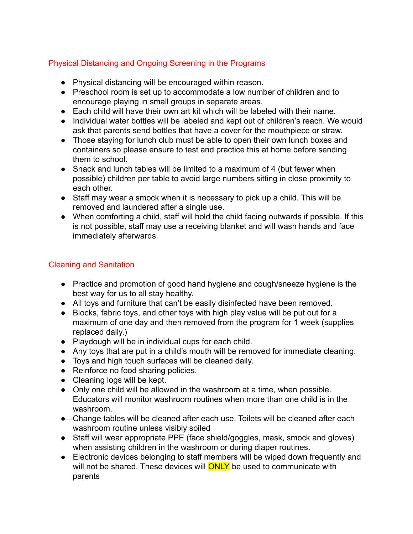# Physical Distancing and Ongoing Screening in the Programs

- Physical distancing will be encouraged within reason.
- Preschool room is set up to accommodate a low number of children and to encourage playing in small groups in separate areas.
- Each child will have their own art kit which will be labeled with their name.
- Individual water bottles will be labeled and kept out of children's reach. We would ask that parents send bottles that have a cover for the mouthpiece or straw.
- Those staying for lunch club must be able to open their own lunch boxes and containers so please ensure to test and practice this at home before sending them to school.
- Snack and lunch tables will be limited to a maximum of 4 (but fewer when possible) children per table to avoid large numbers sitting in close proximity to each other.
- Staff may wear a smock when it is necessary to pick up a child. This will be removed and laundered after a single use.
- When comforting a child, staff will hold the child facing outwards if possible. If this is not possible, staff may use a receiving blanket and will wash hands and face immediately afterwards.

### Cleaning and Sanitation

- Practice and promotion of good hand hygiene and cough/sneeze hygiene is the best way for us to all stay healthy.
- All toys and furniture that can't be easily disinfected have been removed.
- Blocks, fabric toys, and other toys with high play value will be put out for a maximum of one day and then removed from the program for 1 week (supplies replaced daily.)
- Playdough will be in individual cups for each child.
- Any toys that are put in a child's mouth will be removed for immediate cleaning.
- Toys and high touch surfaces will be cleaned daily.
- Reinforce no food sharing policies.
- Cleaning logs will be kept.
- Only one child will be allowed in the washroom at a time, when possible. Educators will monitor washroom routines when more than one child is in the washroom.
- Change tables will be cleaned after each use. Toilets will be cleaned after each washroom routine unless visibly soiled
- Staff will wear appropriate PPE (face shield/goggles, mask, smock and gloves) when assisting children in the washroom or during diaper routines.
- Electronic devices belonging to staff members will be wiped down frequently and will not be shared. These devices will **ONLY** be used to communicate with parents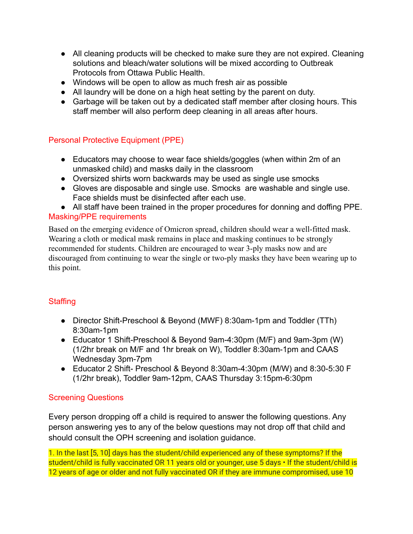- All cleaning products will be checked to make sure they are not expired. Cleaning solutions and bleach/water solutions will be mixed according to Outbreak Protocols from Ottawa Public Health.
- Windows will be open to allow as much fresh air as possible
- All laundry will be done on a high heat setting by the parent on duty.
- Garbage will be taken out by a dedicated staff member after closing hours. This staff member will also perform deep cleaning in all areas after hours.

## Personal Protective Equipment (PPE)

- Educators may choose to wear face shields/goggles (when within 2m of an unmasked child) and masks daily in the classroom
- Oversized shirts worn backwards may be used as single use smocks
- Gloves are disposable and single use. Smocks are washable and single use. Face shields must be disinfected after each use.
- All staff have been trained in the proper procedures for donning and doffing PPE. Masking/PPE requirements

Based on the emerging evidence of Omicron spread, children should wear a well-fitted mask. Wearing a cloth or medical mask remains in place and masking continues to be strongly recommended for students. Children are encouraged to wear 3-ply masks now and are discouraged from continuing to wear the single or two-ply masks they have been wearing up to this point.

#### **Staffing**

- Director Shift-Preschool & Beyond (MWF) 8:30am-1pm and Toddler (TTh) 8:30am-1pm
- Educator 1 Shift-Preschool & Beyond 9am-4:30pm (M/F) and 9am-3pm (W) (1/2hr break on M/F and 1hr break on W), Toddler 8:30am-1pm and CAAS Wednesday 3pm-7pm
- Educator 2 Shift- Preschool & Beyond 8:30am-4:30pm (M/W) and 8:30-5:30 F (1/2hr break), Toddler 9am-12pm, CAAS Thursday 3:15pm-6:30pm

#### Screening Questions

Every person dropping off a child is required to answer the following questions. Any person answering yes to any of the below questions may not drop off that child and should consult the OPH screening and isolation guidance.

1. In the last [5, 10] days has the student/child experienced any of these symptoms? If the student/child is fully vaccinated OR 11 years old or younger, use 5 days • If the student/child is 12 years of age or older and not fully vaccinated OR if they are immune compromised, use 10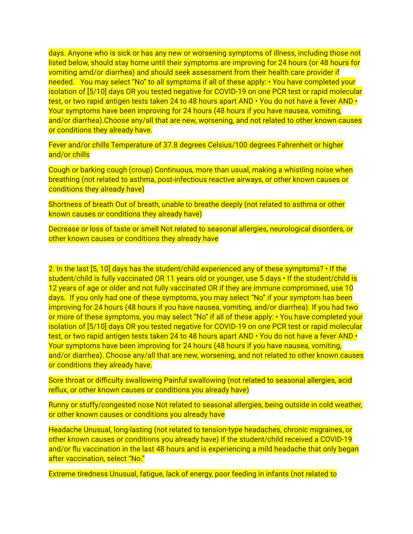days. Anyone who is sick or has any new or worsening symptoms of illness, including those not listed below, should stay home until their symptoms are improving for 24 hours (or 48 hours for vomiting amd/or diarrhea) and should seek assessment from their health care provider if needed. You may select "No" to all symptoms if all of these apply: • You have completed your isolation of [5/10] days OR you tested negative for COVID-19 on one PCR test or rapid molecular test, or two rapid antigen tests taken 24 to 48 hours apart AND • You do not have a fever AND • Your symptoms have been improving for 24 hours (48 hours if you have nausea, vomiting, and/or diarrhea).Choose any/all that are new, worsening, and not related to other known causes or conditions they already have.

Fever and/or chills Temperature of 37.8 degrees Celsius/100 degrees Fahrenheit or higher and/or chills

Cough or barking cough (croup) Continuous, more than usual, making a whistling noise when breathing (not related to asthma, post-infectious reactive airways, or other known causes or conditions they already have)

Shortness of breath Out of breath, unable to breathe deeply (not related to asthma or other known causes or conditions they already have)

Decrease or loss of taste or smell Not related to seasonal allergies, neurological disorders, or other known causes or conditions they already have

2. In the last [5, 10] days has the student/child experienced any of these symptoms? • If the student/child is fully vaccinated OR 11 years old or younger, use 5 days • If the student/child is 12 years of age or older and not fully vaccinated OR if they are immune compromised, use 10 days. If you only had one of these symptoms, you may select "No" if your symptom has been improving for 24 hours (48 hours if you have nausea, vomiting, and/or diarrhea). If you had two or more of these symptoms, you may select "No" if all of these apply: • You have completed your isolation of [5/10] days OR you tested negative for COVID-19 on one PCR test or rapid molecular test, or two rapid antigen tests taken 24 to 48 hours apart AND • You do not have a fever AND • Your symptoms have been improving for 24 hours (48 hours if you have nausea, vomiting, and/or diarrhea). Choose any/all that are new, worsening, and not related to other known causes or conditions they already have.

Sore throat or difficulty swallowing Painful swallowing (not related to seasonal allergies, acid reflux, or other known causes or conditions you already have)

Runny or stuffy/congested nose Not related to seasonal allergies, being outside in cold weather, or other known causes or conditions you already have

Headache Unusual, long-lasting (not related to tension-type headaches, chronic migraines, or other known causes or conditions you already have) If the student/child received a COVID-19 and/or flu vaccination in the last 48 hours and is experiencing a mild headache that only began after vaccination, select "No."

Extreme tiredness Unusual, fatigue, lack of energy, poor feeding in infants (not related to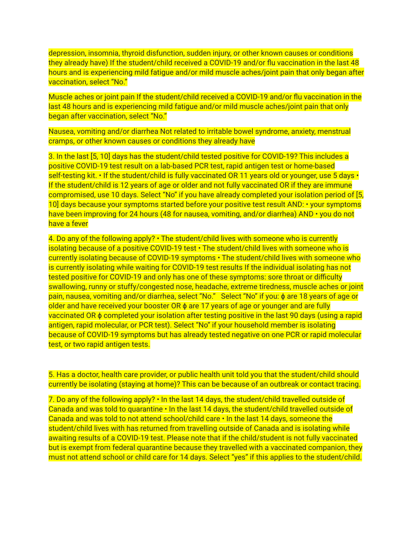depression, insomnia, thyroid disfunction, sudden injury, or other known causes or conditions they already have) If the student/child received a COVID-19 and/or flu vaccination in the last 48 hours and is experiencing mild fatigue and/or mild muscle aches/joint pain that only began after vaccination, select "No."

Muscle aches or joint pain If the student/child received a COVID-19 and/or flu vaccination in the last 48 hours and is experiencing mild fatigue and/or mild muscle aches/joint pain that only began after vaccination, select "No."

Nausea, vomiting and/or diarrhea Not related to irritable bowel syndrome, anxiety, menstrual cramps, or other known causes or conditions they already have

3. In the last [5, 10] days has the student/child tested positive for COVID-19? This includes a positive COVID-19 test result on a lab-based PCR test, rapid antigen test or home-based self-testing kit. • If the student/child is fully vaccinated OR 11 years old or younger, use 5 days • If the student/child is 12 years of age or older and not fully vaccinated OR if they are immune compromised, use 10 days. Select "No" if you have already completed your isolation period of [5, 10] days because your symptoms started before your positive test result AND: • your symptoms have been improving for 24 hours (48 for nausea, vomiting, and/or diarrhea) AND • you do not have a fever

4. Do any of the following apply? • The student/child lives with someone who is currently isolating because of a positive COVID-19 test • The student/child lives with someone who is currently isolating because of COVID-19 symptoms • The student/child lives with someone who is currently isolating while waiting for COVID-19 test results If the individual isolating has not tested positive for COVID-19 and only has one of these symptoms: sore throat or difficulty swallowing, runny or stuffy/congested nose, headache, extreme tiredness, muscle aches or joint pain, nausea, vomiting and/or diarrhea, select "No." Select "No" if you: φ are 18 years of age or older and have received your booster OR  $\phi$  are 17 years of age or younger and are fully vaccinated OR ϕ completed your isolation after testing positive in the last 90 days (using a rapid antigen, rapid molecular, or PCR test). Select "No" if your household member is isolating because of COVID-19 symptoms but has already tested negative on one PCR or rapid molecular test, or two rapid antigen tests.

5. Has a doctor, health care provider, or public health unit told you that the student/child should currently be isolating (staying at home)? This can be because of an outbreak or contact tracing.

7. Do any of the following apply? • In the last 14 days, the student/child travelled outside of Canada and was told to quarantine • In the last 14 days, the student/child travelled outside of Canada and was told to not attend school/child care • In the last 14 days, someone the student/child lives with has returned from travelling outside of Canada and is isolating while awaiting results of a COVID-19 test. Please note that if the child/student is not fully vaccinated but is exempt from federal quarantine because they travelled with a vaccinated companion, they must not attend school or child care for 14 days. Select "yes" if this applies to the student/child.